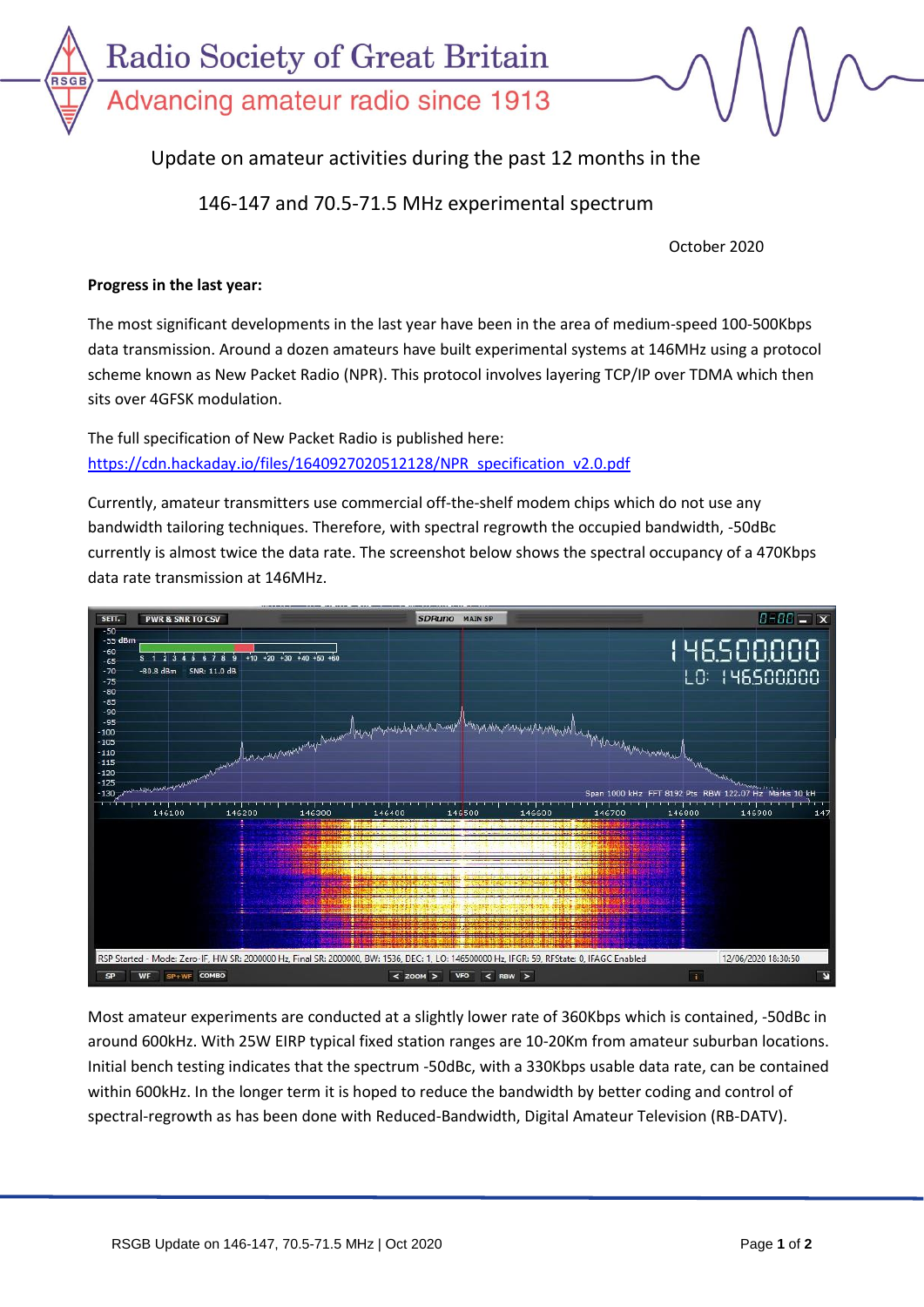

## Update on amateur activities during the past 12 months in the

## 146-147 and 70.5-71.5 MHz experimental spectrum

October 2020

## **Progress in the last year:**

The most significant developments in the last year have been in the area of medium-speed 100-500Kbps data transmission. Around a dozen amateurs have built experimental systems at 146MHz using a protocol scheme known as New Packet Radio (NPR). This protocol involves layering TCP/IP over TDMA which then sits over 4GFSK modulation.

The full specification of New Packet Radio is published here: [https://cdn.hackaday.io/files/1640927020512128/NPR\\_specification\\_v2.0.pdf](https://cdn.hackaday.io/files/1640927020512128/NPR_specification_v2.0.pdf)

Currently, amateur transmitters use commercial off-the-shelf modem chips which do not use any bandwidth tailoring techniques. Therefore, with spectral regrowth the occupied bandwidth, -50dBc currently is almost twice the data rate. The screenshot below shows the spectral occupancy of a 470Kbps data rate transmission at 146MHz.



Most amateur experiments are conducted at a slightly lower rate of 360Kbps which is contained, -50dBc in around 600kHz. With 25W EIRP typical fixed station ranges are 10-20Km from amateur suburban locations. Initial bench testing indicates that the spectrum -50dBc, with a 330Kbps usable data rate, can be contained within 600kHz. In the longer term it is hoped to reduce the bandwidth by better coding and control of spectral-regrowth as has been done with Reduced-Bandwidth, Digital Amateur Television (RB-DATV).